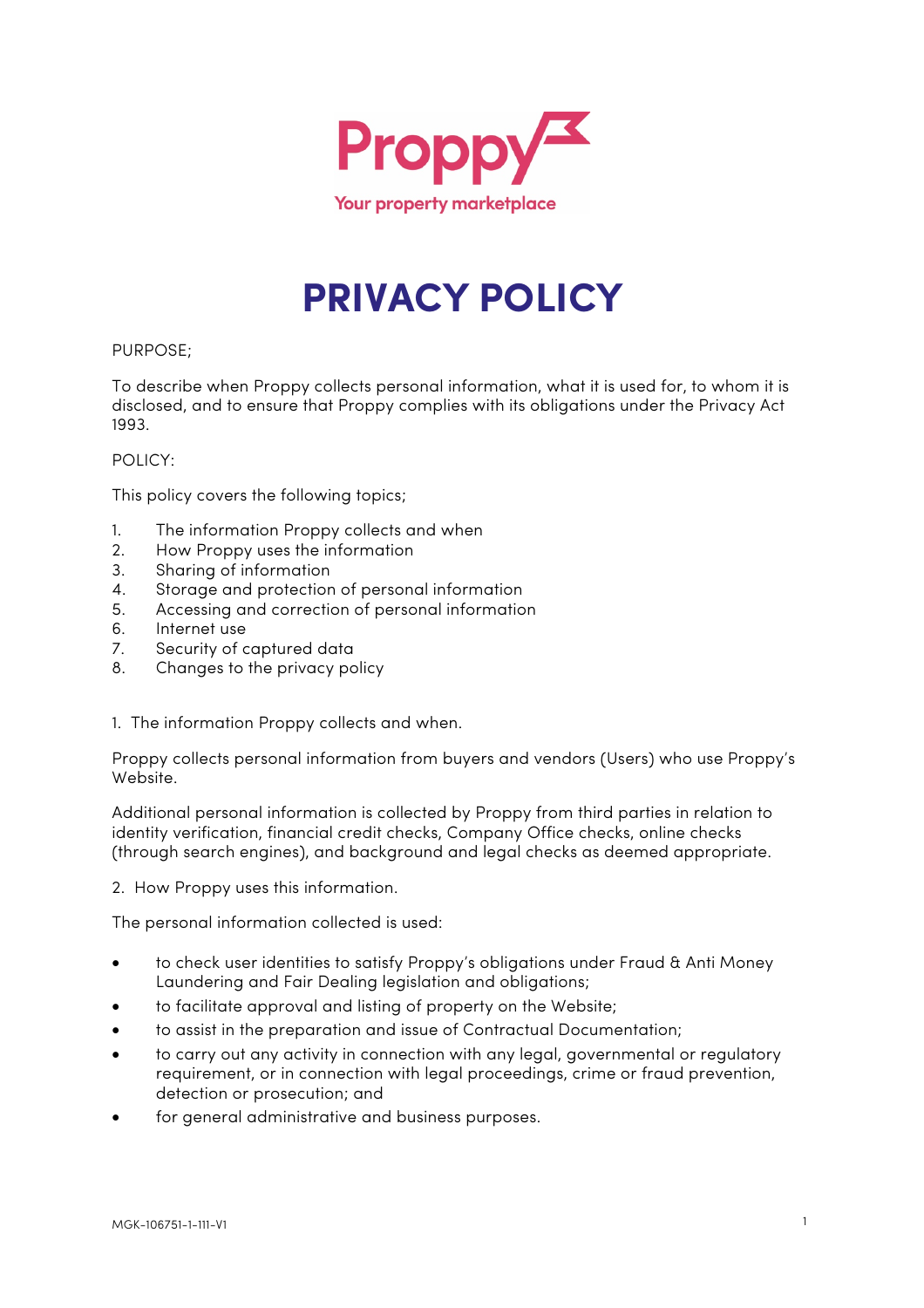

# **PRIVACY POLICY**

## PURPOSE;

To describe when Proppy collects personal information, what it is used for, to whom it is disclosed, and to ensure that Proppy complies with its obligations under the Privacy Act 1993.

## POLICY:

This policy covers the following topics;

- 1. The information Proppy collects and when
- 2. How Proppy uses the information
- 3. Sharing of information
- 4. Storage and protection of personal information
- 5. Accessing and correction of personal information
- 6. Internet use
- 7. Security of captured data
- 8. Changes to the privacy policy
- 1. The information Proppy collects and when.

Proppy collects personal information from buyers and vendors (Users) who use Proppy's Website.

Additional personal information is collected by Proppy from third parties in relation to identity verification, financial credit checks, Company Office checks, online checks (through search engines), and background and legal checks as deemed appropriate.

2. How Proppy uses this information.

The personal information collected is used:

- to check user identities to satisfy Proppy's obligations under Fraud & Anti Money Laundering and Fair Dealing legislation and obligations;
- to facilitate approval and listing of property on the Website;
- to assist in the preparation and issue of Contractual Documentation;
- to carry out any activity in connection with any legal, governmental or regulatory requirement, or in connection with legal proceedings, crime or fraud prevention, detection or prosecution; and
- for general administrative and business purposes.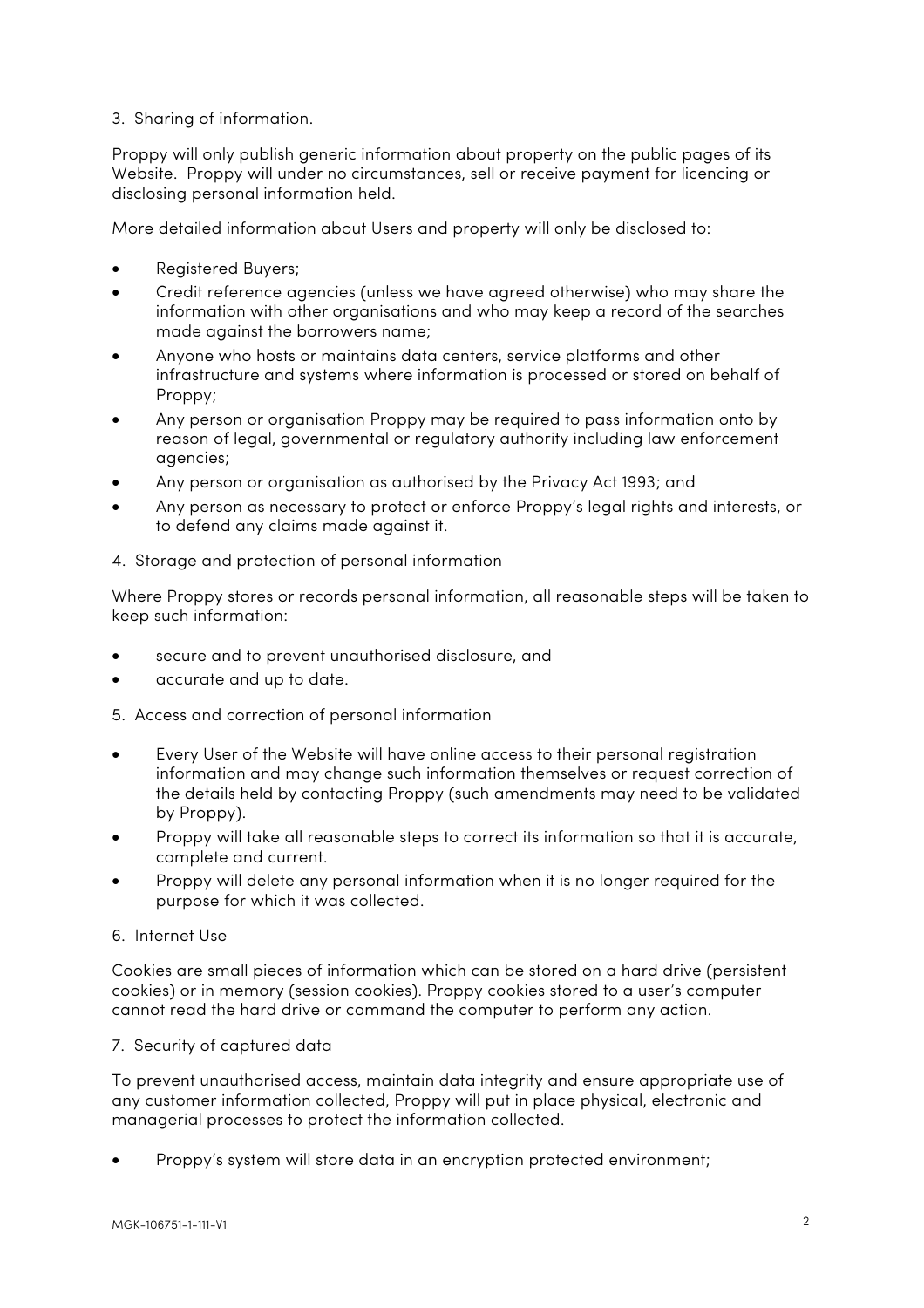# 3. Sharing of information.

Proppy will only publish generic information about property on the public pages of its Website. Proppy will under no circumstances, sell or receive payment for licencing or disclosing personal information held.

More detailed information about Users and property will only be disclosed to:

- Registered Buyers;
- Credit reference agencies (unless we have agreed otherwise) who may share the information with other organisations and who may keep a record of the searches made against the borrowers name;
- Anyone who hosts or maintains data centers, service platforms and other infrastructure and systems where information is processed or stored on behalf of Proppy;
- Any person or organisation Proppy may be required to pass information onto by reason of legal, governmental or regulatory authority including law enforcement agencies;
- Any person or organisation as authorised by the Privacy Act 1993; and
- Any person as necessary to protect or enforce Proppy's legal rights and interests, or to defend any claims made against it.
- 4. Storage and protection of personal information

Where Proppy stores or records personal information, all reasonable steps will be taken to keep such information:

- secure and to prevent unauthorised disclosure, and
- accurate and up to date.
- 5. Access and correction of personal information
- Every User of the Website will have online access to their personal registration information and may change such information themselves or request correction of the details held by contacting Proppy (such amendments may need to be validated by Proppy).
- Proppy will take all reasonable steps to correct its information so that it is accurate, complete and current.
- Proppy will delete any personal information when it is no longer required for the purpose for which it was collected.

### 6. Internet Use

Cookies are small pieces of information which can be stored on a hard drive (persistent cookies) or in memory (session cookies). Proppy cookies stored to a user's computer cannot read the hard drive or command the computer to perform any action.

### 7. Security of captured data

To prevent unauthorised access, maintain data integrity and ensure appropriate use of any customer information collected, Proppy will put in place physical, electronic and managerial processes to protect the information collected.

• Proppy's system will store data in an encryption protected environment;